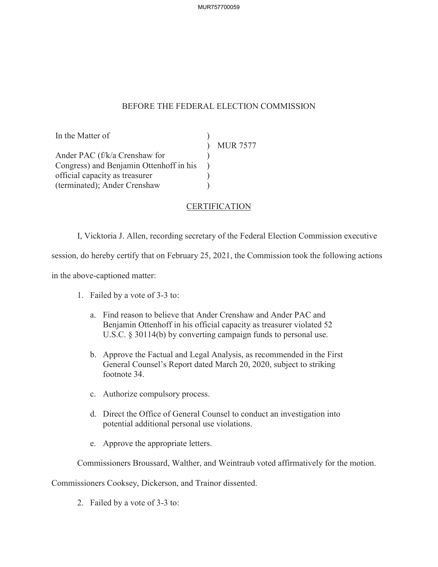## BEFORE THE FEDERAL ELECTION COMMISSION

In the Matter of Ander PAC (f/k/a Crenshaw for Congress) and Benjamin Ottenhoff in his official capacity as treasurer (terminated); Ander Crenshaw ) MUR 7577  $\lambda$  $\lambda$  $\mathcal{L}$ )

## **CERTIFICATION**

I, Vicktoria J. Allen, recording secretary of the Federal Election Commission executive

session, do hereby certify that on February 25, 2021, the Commission took the following actions

in the above-captioned matter:

- 1. Failed by a vote of 3-3 to:
	- a. Find reason to believe that Ander Crenshaw and Ander PAC and Benjamin Ottenhoff in his official capacity as treasurer violated 52 U.S.C. § 30114(b) by converting campaign funds to personal use.
	- b. Approve the Factual and Legal Analysis, as recommended in the First General Counsel's Report dated March 20, 2020, subject to striking footnote 34.
	- c. Authorize compulsory process.
	- d. Direct the Office of General Counsel to conduct an investigation into potential additional personal use violations.
	- e. Approve the appropriate letters.

Commissioners Broussard, Walther, and Weintraub voted affirmatively for the motion.

Commissioners Cooksey, Dickerson, and Trainor dissented.

2. Failed by a vote of 3-3 to: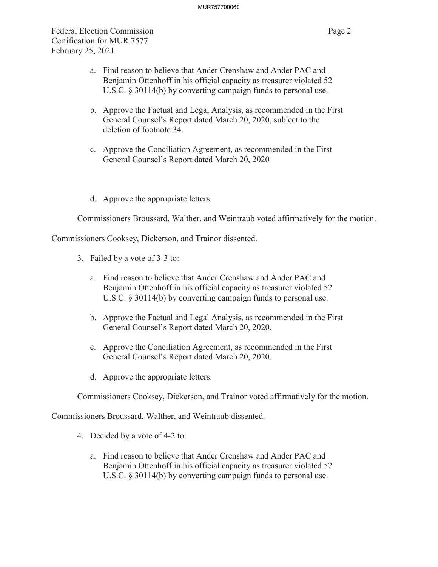Federal Election Commission Page 2 Certification for MUR 7577 February 25, 2021

- a. Find reason to believe that Ander Crenshaw and Ander PAC and Benjamin Ottenhoff in his official capacity as treasurer violated 52 U.S.C. § 30114(b) by converting campaign funds to personal use.
- b. Approve the Factual and Legal Analysis, as recommended in the First General Counsel's Report dated March 20, 2020, subject to the deletion of footnote 34.
- c. Approve the Conciliation Agreement, as recommended in the First General Counsel's Report dated March 20, 2020
- d. Approve the appropriate letters.

Commissioners Broussard, Walther, and Weintraub voted affirmatively for the motion.

Commissioners Cooksey, Dickerson, and Trainor dissented.

- 3. Failed by a vote of 3-3 to:
	- a. Find reason to believe that Ander Crenshaw and Ander PAC and Benjamin Ottenhoff in his official capacity as treasurer violated 52 U.S.C. § 30114(b) by converting campaign funds to personal use.
	- b. Approve the Factual and Legal Analysis, as recommended in the First General Counsel's Report dated March 20, 2020.
	- c. Approve the Conciliation Agreement, as recommended in the First General Counsel's Report dated March 20, 2020.
	- d. Approve the appropriate letters.

Commissioners Cooksey, Dickerson, and Trainor voted affirmatively for the motion.

Commissioners Broussard, Walther, and Weintraub dissented.

- 4. Decided by a vote of 4-2 to:
	- a. Find reason to believe that Ander Crenshaw and Ander PAC and Benjamin Ottenhoff in his official capacity as treasurer violated 52 U.S.C. § 30114(b) by converting campaign funds to personal use.